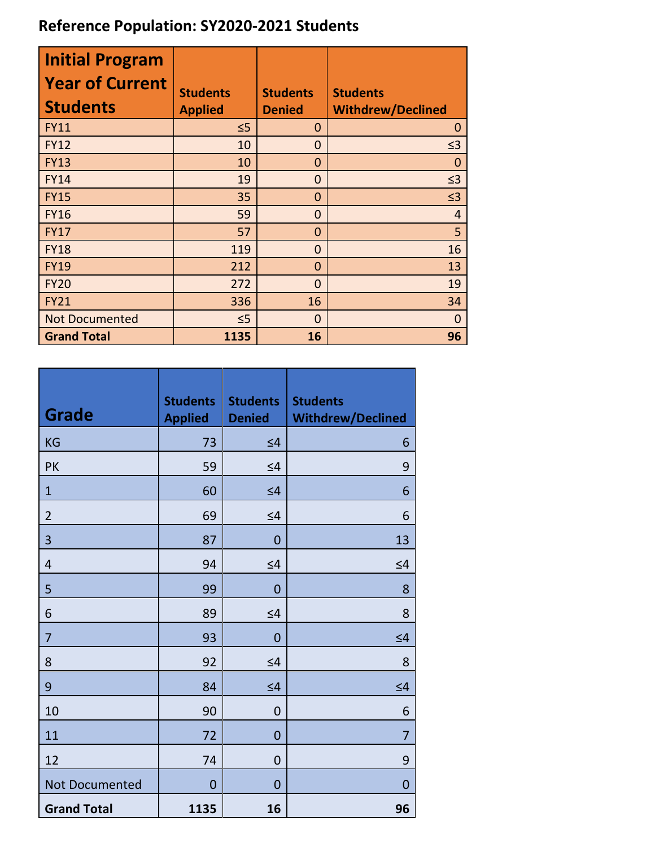## **Reference Population: SY2020-2021 Students**

| <b>Initial Program</b><br><b>Year of Current</b><br><b>Students</b> | <b>Students</b><br><b>Applied</b> | <b>Students</b><br><b>Denied</b> | <b>Students</b><br><b>Withdrew/Declined</b> |
|---------------------------------------------------------------------|-----------------------------------|----------------------------------|---------------------------------------------|
| <b>FY11</b>                                                         | $\leq 5$                          | 0                                | $\Omega$                                    |
| <b>FY12</b>                                                         | 10                                | $\overline{0}$                   | $\leq$ 3                                    |
| <b>FY13</b>                                                         | 10                                | $\mathbf 0$                      | 0                                           |
| <b>FY14</b>                                                         | 19                                | $\overline{0}$                   | $\leq$ 3                                    |
| <b>FY15</b>                                                         | 35                                | $\mathbf 0$                      | $\leq$ 3                                    |
| <b>FY16</b>                                                         | 59                                | $\overline{0}$                   | $\overline{4}$                              |
| <b>FY17</b>                                                         | 57                                | $\Omega$                         | 5                                           |
| <b>FY18</b>                                                         | 119                               | 0                                | 16                                          |
| <b>FY19</b>                                                         | 212                               | 0                                | 13                                          |
| <b>FY20</b>                                                         | 272                               | $\overline{0}$                   | 19                                          |
| <b>FY21</b>                                                         | 336                               | 16                               | 34                                          |
| <b>Not Documented</b>                                               | $\leq$ 5                          | $\overline{0}$                   | $\overline{0}$                              |
| <b>Grand Total</b>                                                  | 1135                              | 16                               | 96                                          |

| <b>Grade</b>       | <b>Students</b><br><b>Applied</b> | <b>Students</b><br><b>Denied</b> | <b>Students</b><br><b>Withdrew/Declined</b> |
|--------------------|-----------------------------------|----------------------------------|---------------------------------------------|
| <b>KG</b>          | 73                                | $\leq 4$                         | 6                                           |
| <b>PK</b>          | 59                                | $\leq 4$                         | 9                                           |
| $\mathbf{1}$       | 60                                | $\leq 4$                         | 6                                           |
| $\overline{2}$     | 69                                | $\leq 4$                         | 6                                           |
| 3                  | 87                                | $\mathbf 0$                      | 13                                          |
| $\overline{4}$     | 94                                | $\leq 4$                         | $\leq 4$                                    |
| 5                  | 99                                | $\overline{0}$                   | 8                                           |
| 6                  | 89                                | $\leq 4$                         | 8                                           |
| 7                  | 93                                | $\overline{0}$                   | $\leq 4$                                    |
| 8                  | 92                                | $\leq 4$                         | 8                                           |
| 9                  | 84                                | $\leq 4$                         | $\leq 4$                                    |
| 10                 | 90                                | $\mathbf 0$                      | 6                                           |
| 11                 | 72                                | $\overline{0}$                   | $\overline{7}$                              |
| 12                 | 74                                | $\mathbf 0$                      | 9                                           |
| Not Documented     | $\overline{0}$                    | $\overline{0}$                   | $\mathbf 0$                                 |
| <b>Grand Total</b> | 1135                              | 16                               | 96                                          |